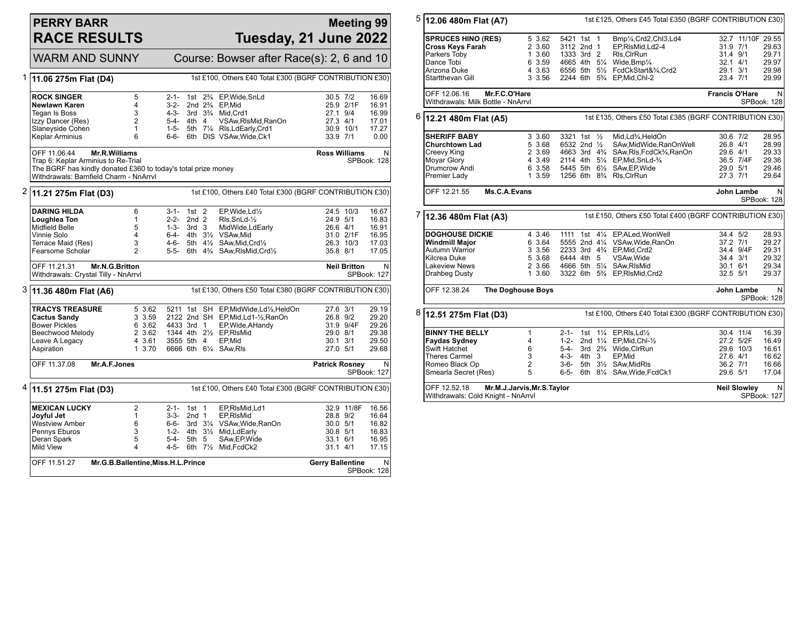## **PERRY BARR RACE RESULTS**

## **Meeting 99 Tuesday, 21 June 2022**

| <b>WARM AND SUNNY</b>                                                                                                                                          |                                                           |                                                                   |                                                 |                                          | Course: Bowser after Race(s): 2, 6 and 10                                                                                                                                                  |                                                                                       |                                     |                                                    |
|----------------------------------------------------------------------------------------------------------------------------------------------------------------|-----------------------------------------------------------|-------------------------------------------------------------------|-------------------------------------------------|------------------------------------------|--------------------------------------------------------------------------------------------------------------------------------------------------------------------------------------------|---------------------------------------------------------------------------------------|-------------------------------------|----------------------------------------------------|
| 1 11.06 275m Flat (D4)                                                                                                                                         |                                                           |                                                                   |                                                 |                                          | 1st £100, Others £40 Total £300 (BGRF CONTRIBUTION £30)                                                                                                                                    |                                                                                       |                                     |                                                    |
| <b>ROCK SINGER</b><br>Newlawn Karen<br>Tegan Is Boss<br>Izzy Dancer (Res)<br>Slaneyside Cohen<br>Keplar Arminius                                               | 5<br>4<br>3<br>$\overline{2}$<br>$\mathbf{1}$<br>6        | $2 - 1 -$<br>3-2-<br>$4 - 3 -$<br>5-4- 4th 4<br>$1 - 5 -$<br>6-6- |                                                 | 1st $2\frac{3}{4}$<br>2nd $2\frac{3}{4}$ | EP, Wide, SnLd<br>EP,Mid<br>3rd 3 <sup>3</sup> / <sub>4</sub> Mid, Crd1<br>VSAw, RIsMid, RanOn<br>5th 71/4 RIs, LdEarly, Crd1<br>6th DIS VSAw, Wide, Ck1                                   | 30.5 7/2<br>27.1 9/4<br>27.3 4/1<br>30.9 10/1<br>33.9 7/1                             | 25.9 2/1F                           | 16.69<br>16.91<br>16.99<br>17.01<br>17.27<br>0.00  |
| OFF 11.06.44<br>Trap 6: Keplar Arminius to Re-Trial<br>The BGRF has kindly donated £360 to today's total prize money<br>Withdrawals: Barnfield Charm - NnArryl | Mr.R.Williams                                             |                                                                   |                                                 |                                          |                                                                                                                                                                                            | <b>Ross Williams</b>                                                                  |                                     | N<br>SPBook: 128                                   |
| 2 11.21 275m Flat (D3)                                                                                                                                         |                                                           | 1st £100, Others £40 Total £300 (BGRF CONTRIBUTION £30)           |                                                 |                                          |                                                                                                                                                                                            |                                                                                       |                                     |                                                    |
| <b>DARING HILDA</b><br>Loughlea Ton<br><b>Midfield Belle</b><br>Vinnie Solo<br>Terrace Maid (Res)<br>Fearsome Scholar                                          | 6<br>$\mathbf{1}$<br>5<br>4<br>3<br>$\mathcal{P}$         | 3-1-<br>$2 - 2 -$<br>$1 - 3 -$<br>4-6-<br>5-5-                    | $1st$ 2<br>2nd <sub>2</sub><br>3rd <sub>3</sub> |                                          | EP.Wide.Ld1/2<br>RIs, SnLd-1/2<br>MidWide,LdEarly<br>6-4- 4th 31/2 VSAw.Mid<br>5th 41/2 SAw, Mid, Crd1/2<br>6th 4 <sup>3</sup> / <sub>4</sub> SAw, RIsMid, Crd <sup>1</sup> / <sub>2</sub> | 24.9 5/1<br>26.6 4/1<br>35.8 8/1                                                      | 24.5 10/3<br>31.0 2/1F<br>26.3 10/3 | 16.67<br>16.83<br>16.91<br>16.95<br>17.03<br>17.05 |
|                                                                                                                                                                |                                                           |                                                                   |                                                 |                                          |                                                                                                                                                                                            |                                                                                       |                                     |                                                    |
| OFF 11.21.31<br>Withdrawals: Crystal Tilly - NnArrvl                                                                                                           | Mr.N.G.Britton                                            |                                                                   |                                                 |                                          |                                                                                                                                                                                            |                                                                                       | <b>Neil Britton</b>                 | N<br>SPBook: 127                                   |
| $3$ 11.36 480m Flat (A6)                                                                                                                                       |                                                           |                                                                   |                                                 |                                          | 1st £130, Others £50 Total £380 (BGRF CONTRIBUTION £30)                                                                                                                                    |                                                                                       |                                     |                                                    |
| <b>TRACYS TREASURE</b><br><b>Cactus Sandy</b><br><b>Bower Pickles</b><br>Beechwood Melody<br>Leave A Legacy<br>Aspiration                                      | 5 3.62<br>3 3.59<br>6 3.62<br>2 3.62<br>4 3.61<br>1, 3.70 | 4433 3rd 1<br>3555 5th 4                                          |                                                 |                                          | 5211 1st SH EP, Mid Wide, Ld1/2, HeldOn<br>2122 2nd SH EP, Mid, Ld1-1/2, RanOn<br>EP, Wide, AHandy<br>1344 4th 21/2 EP, RIsMid<br>EP,Mid<br>6666 6th 61/4 SAw, RIs                         | 27.6 3/1<br>26.8 9/2<br>29.0 8/1<br>$30.1$ $3/1$<br>27.0 5/1                          | 31.9 9/4F                           | 29.19<br>29.20<br>29.26<br>29.38<br>29.50<br>29.68 |
| OFF 11.37.08                                                                                                                                                   | Mr.A.F.Jones                                              |                                                                   |                                                 |                                          |                                                                                                                                                                                            | <b>Patrick Rosney</b>                                                                 |                                     | N<br>SPBook: 127                                   |
| $4 \mid 11.51 275$ m Flat (D3)                                                                                                                                 |                                                           |                                                                   |                                                 |                                          | 1st £100, Others £40 Total £300 (BGRF CONTRIBUTION £30)                                                                                                                                    |                                                                                       |                                     |                                                    |
| <b>MEXICAN LUCKY</b><br>Jovful Jet<br><b>Westview Amber</b><br>Pennys Eburos<br>Deran Spark<br>Mild View                                                       | $\overline{c}$<br>1<br>6<br>3<br>5<br>4                   | $2 - 1 -$<br>$3 - 3 -$<br>6-6-<br>1-2-<br>5-4-<br>4-5-            | $1st$ 1<br>2nd <sub>1</sub><br>5th 5            | 3rd $3\frac{1}{4}$                       | EP,RIsMid,Ld1<br>EP.RIsMid<br>VSAw,Wide,RanOn<br>4th 31/2 Mid, Ld Early<br>SAw, EP, Wide<br>6th 71/2 Mid, FcdCk2                                                                           | 28.8 9/2<br>30.0 5/1<br>30.8 5/1<br>33.1 6/1<br>$31.1$ 4/1<br><b>Gerry Ballentine</b> | 32.9 11/8F                          | 16.56<br>16.64<br>16.82<br>16.83<br>16.95<br>17.15 |

| 5<br>12.06 480m Flat (A7) |                                                                                                                                                   |                                                                        |                                                         |       | 1st £125, Others £45 Total £350 (BGRF CONTRIBUTION £30) |                                                                                                                                                                                                                                                                                               |                                                            |                                                            |                                                         |
|---------------------------|---------------------------------------------------------------------------------------------------------------------------------------------------|------------------------------------------------------------------------|---------------------------------------------------------|-------|---------------------------------------------------------|-----------------------------------------------------------------------------------------------------------------------------------------------------------------------------------------------------------------------------------------------------------------------------------------------|------------------------------------------------------------|------------------------------------------------------------|---------------------------------------------------------|
|                           | <b>SPRUCES HINO (RES)</b><br><b>Cross Keys Farah</b><br>Parkers Toby<br>Dance Tobi<br>Arizona Duke<br>Startthevan Gill                            | 5 3.62<br>2 3.60<br>1 3.60<br>6 3.59<br>4 3.63<br>3 3.56               | 5421 1st 1<br>3112 2nd 1<br>1333 3rd 2<br>4665 4th 51/4 |       |                                                         | Bmp1/ <sub>4</sub> ,Crd2,Chl3,Ld4<br>EP,RIsMid,Ld2-4<br>RIs, CIrRun<br>Wide, Bmp $\frac{1}{4}$<br>6556 5th 51/2 FcdCkStart&3/4,Crd2<br>2244 6th 5% EP, Mid, Chl-2                                                                                                                             | 31.9 7/1<br>31.4 9/1<br>$32.1$ 4/1<br>29.1 3/1<br>23.4 7/1 | 32.7 11/10F 29.55                                          | 29.63<br>29.71<br>29.97<br>29.98<br>29.99               |
|                           | OFF 12.06.16<br>Withdrawals: Milk Bottle - NnArrvl                                                                                                | Mr.F.C.O'Hare                                                          |                                                         |       |                                                         |                                                                                                                                                                                                                                                                                               | <b>Francis O'Hare</b>                                      |                                                            | N<br>SPBook: 128                                        |
| 6<br>12.21 480m Flat (A5) |                                                                                                                                                   |                                                                        |                                                         |       |                                                         | 1st £135, Others £50 Total £385 (BGRF CONTRIBUTION £30)                                                                                                                                                                                                                                       |                                                            |                                                            |                                                         |
|                           | <b>SHERIFF BABY</b><br><b>Churchtown Lad</b><br>Creevy King<br><b>Moyar Glory</b><br>Drumcrow Andi<br>Premier Lady                                | 3 3.60<br>5 3.68<br>2 3.69<br>4 3.49<br>6 3.58<br>1 3.59               | 3321 1st 1/2<br>6532 2nd 1/2                            |       |                                                         | Mid.Ld <sup>3</sup> / <sub>4</sub> .HeldOn<br>SAw, Mid Wide, RanOn Well<br>4663 3rd 4 <sup>3</sup> / <sub>4</sub> SAw, RIs, FcdCk <sup>3</sup> / <sub>4</sub> , RanOn<br>2114 4th 51/4 EP, Mid, SnLd-3/4<br>5445 5th 61/2 SAw, EP, Wide<br>1256 6th 8 <sup>3</sup> / <sub>4</sub> Rls, ClrRun | 30.6 7/2<br>26.8 4/1<br>29.6 4/1<br>29.0 5/1<br>27.3 7/1   | 36.5 7/4F                                                  | 28.95<br>28.99<br>29.33<br>29.36<br>29.46<br>29.64      |
|                           | OFF 12.21.55                                                                                                                                      | Ms.C.A.Evans                                                           |                                                         |       |                                                         |                                                                                                                                                                                                                                                                                               |                                                            | John Lambe                                                 | N<br>SPBook: 128                                        |
| 7                         | 12.36 480m Flat (A3)                                                                                                                              |                                                                        |                                                         |       |                                                         | 1st £150, Others £50 Total £400 (BGRF CONTRIBUTION £30)                                                                                                                                                                                                                                       |                                                            |                                                            |                                                         |
|                           | <b>DOGHOUSE DICKIE</b><br><b>Windmill Major</b><br><b>Autumn Warrior</b><br>Kilcrea Duke<br><b>Lakeview News</b><br><b>Drahbeg Dusty</b>          | 4 3.46<br>6 3.64<br>3 3.56<br>5 3.68<br>2 3.66<br>1, 3.60              | 1111 1st<br>6444 4th 5                                  |       |                                                         | 41/4 EP.ALed.WonWell<br>5555 2nd 41/4 VSAw, Wide, RanOn<br>2233 3rd 434 EP.Mid.Crd2<br>VSAw, Wide<br>4666 5th 51/4 SAw, RIsMid<br>3322 6th 5 <sup>3</sup> / <sub>4</sub> EP, RIsMid, Crd2                                                                                                     | 34.4 5/2<br>37.2 7/1<br>34.4 3/1<br>30.1 6/1<br>32.5 5/1   | 34.4 9/4F                                                  | 28.93<br>29.27<br>29.31<br>29.32<br>29.34<br>29.37      |
|                           | OFF 12.38.24                                                                                                                                      | <b>The Doghouse Boys</b>                                               |                                                         |       |                                                         |                                                                                                                                                                                                                                                                                               |                                                            | John Lambe                                                 | N.<br>SPBook: 128                                       |
| 8                         | 1st £100, Others £40 Total £300 (BGRF CONTRIBUTION £30)<br>12.51 275m Flat (D3)                                                                   |                                                                        |                                                         |       |                                                         |                                                                                                                                                                                                                                                                                               |                                                            |                                                            |                                                         |
|                           | <b>BINNY THE BELLY</b><br><b>Faydas Sydney</b><br>Swift Hatchet<br><b>Theres Carmel</b><br>Romeo Black Op<br>Smearla Secret (Res)<br>OFF 12.52.18 | 1<br>4<br>6<br>3<br>$\overline{2}$<br>5<br>Mr.M.J.Jarvis, Mr.S. Taylor | $1 - 2 -$<br>$5 - 4 -$<br>$4 - 3 -$<br>3-6-<br>6-5-     | 4th 3 |                                                         | 2-1- 1st 11/4 EP, RIs, Ld <sup>1</sup> / <sub>2</sub><br>2nd 11/4 EP, Mid, Chl-1/2<br>3rd 23/4 Wide, ClrRun<br>EP,Mid<br>5th 31/2 SAw.MidRls<br>6th 81/4 SAw, Wide, FcdCk1                                                                                                                    | 27.6 4/1<br>36.2 7/1<br>29.6 5/1                           | 30.4 11/4<br>27.2 5/2F<br>29.6 10/3<br><b>Neil Slowlev</b> | 16.39<br>16.49<br>16.61<br>16.62<br>16.66<br>17.04<br>N |
|                           | Withdrawals: Cold Knight - NnArrvl                                                                                                                |                                                                        |                                                         |       |                                                         |                                                                                                                                                                                                                                                                                               |                                                            |                                                            | <b>SPBook: 127</b>                                      |